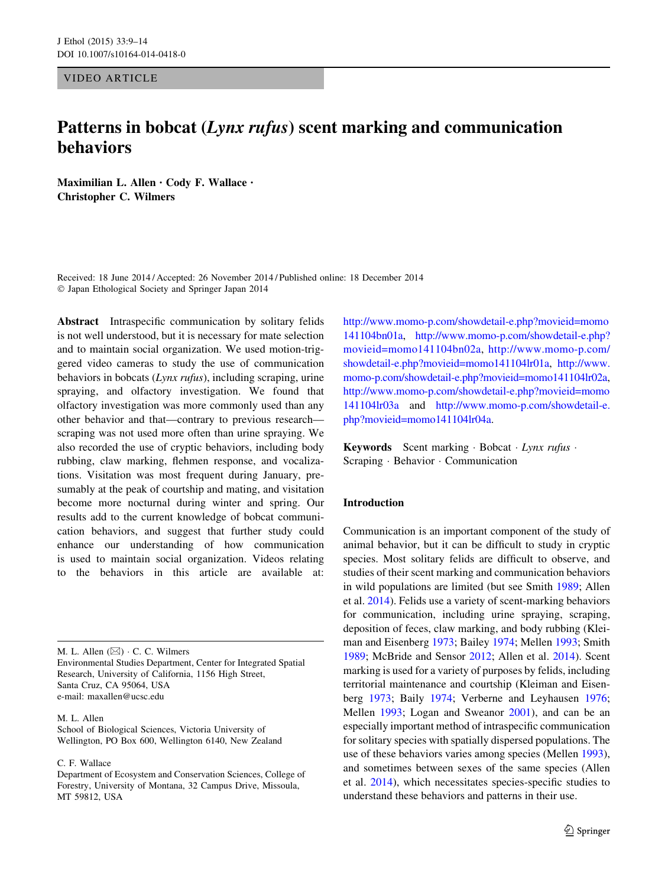VIDEO ARTICLE

# Patterns in bobcat (Lynx rufus) scent marking and communication behaviors

Maximilian L. Allen • Cody F. Wallace • Christopher C. Wilmers

Received: 18 June 2014 / Accepted: 26 November 2014 / Published online: 18 December 2014 - Japan Ethological Society and Springer Japan 2014

Abstract Intraspecific communication by solitary felids is not well understood, but it is necessary for mate selection and to maintain social organization. We used motion-triggered video cameras to study the use of communication behaviors in bobcats (Lynx rufus), including scraping, urine spraying, and olfactory investigation. We found that olfactory investigation was more commonly used than any other behavior and that—contrary to previous research scraping was not used more often than urine spraying. We also recorded the use of cryptic behaviors, including body rubbing, claw marking, flehmen response, and vocalizations. Visitation was most frequent during January, presumably at the peak of courtship and mating, and visitation become more nocturnal during winter and spring. Our results add to the current knowledge of bobcat communication behaviors, and suggest that further study could enhance our understanding of how communication is used to maintain social organization. Videos relating to the behaviors in this article are available at:

M. L. Allen  $(\boxtimes) \cdot C$ . C. Wilmers Environmental Studies Department, Center for Integrated Spatial Research, University of California, 1156 High Street, Santa Cruz, CA 95064, USA e-mail: maxallen@ucsc.edu

M. L. Allen

School of Biological Sciences, Victoria University of Wellington, PO Box 600, Wellington 6140, New Zealand

C. F. Wallace

[http://www.momo-p.com/showdetail-e.php?movieid=momo](http://www.momo-p.com/showdetail-e.php?movieid=momo141104bn01a) [141104bn01a](http://www.momo-p.com/showdetail-e.php?movieid=momo141104bn01a), [http://www.momo-p.com/showdetail-e.php?](http://www.momo-p.com/showdetail-e.php?movieid=momo141104bn02a) [movieid=momo141104bn02a](http://www.momo-p.com/showdetail-e.php?movieid=momo141104bn02a), [http://www.momo-p.com/](http://www.momo-p.com/showdetail-e.php?movieid=momo141104lr01a) [showdetail-e.php?movieid=momo141104lr01a,](http://www.momo-p.com/showdetail-e.php?movieid=momo141104lr01a) [http://www.](http://www.momo-p.com/showdetail-e.php?movieid=momo141104lr02a) [momo-p.com/showdetail-e.php?movieid=momo141104lr02a,](http://www.momo-p.com/showdetail-e.php?movieid=momo141104lr02a) [http://www.momo-p.com/showdetail-e.php?movieid=momo](http://www.momo-p.com/showdetail-e.php?movieid=momo141104lr03a) [141104lr03a](http://www.momo-p.com/showdetail-e.php?movieid=momo141104lr03a) and [http://www.momo-p.com/showdetail-e.](http://www.momo-p.com/showdetail-e.php?movieid=momo141104lr04a) [php?movieid=momo141104lr04a](http://www.momo-p.com/showdetail-e.php?movieid=momo141104lr04a).

Keywords Scent marking · Bobcat · Lynx rufus · Scraping - Behavior - Communication

## Introduction

Communication is an important component of the study of animal behavior, but it can be difficult to study in cryptic species. Most solitary felids are difficult to observe, and studies of their scent marking and communication behaviors in wild populations are limited (but see Smith [1989](#page-5-0); Allen et al. [2014\)](#page-5-0). Felids use a variety of scent-marking behaviors for communication, including urine spraying, scraping, deposition of feces, claw marking, and body rubbing (Kleiman and Eisenberg [1973](#page-5-0); Bailey [1974](#page-5-0); Mellen [1993](#page-5-0); Smith [1989](#page-5-0); McBride and Sensor [2012;](#page-5-0) Allen et al. [2014](#page-5-0)). Scent marking is used for a variety of purposes by felids, including territorial maintenance and courtship (Kleiman and Eisenberg [1973;](#page-5-0) Baily [1974](#page-5-0); Verberne and Leyhausen [1976](#page-5-0); Mellen [1993;](#page-5-0) Logan and Sweanor [2001\)](#page-5-0), and can be an especially important method of intraspecific communication for solitary species with spatially dispersed populations. The use of these behaviors varies among species (Mellen [1993](#page-5-0)), and sometimes between sexes of the same species (Allen et al. [2014](#page-5-0)), which necessitates species-specific studies to understand these behaviors and patterns in their use.

Department of Ecosystem and Conservation Sciences, College of Forestry, University of Montana, 32 Campus Drive, Missoula, MT 59812, USA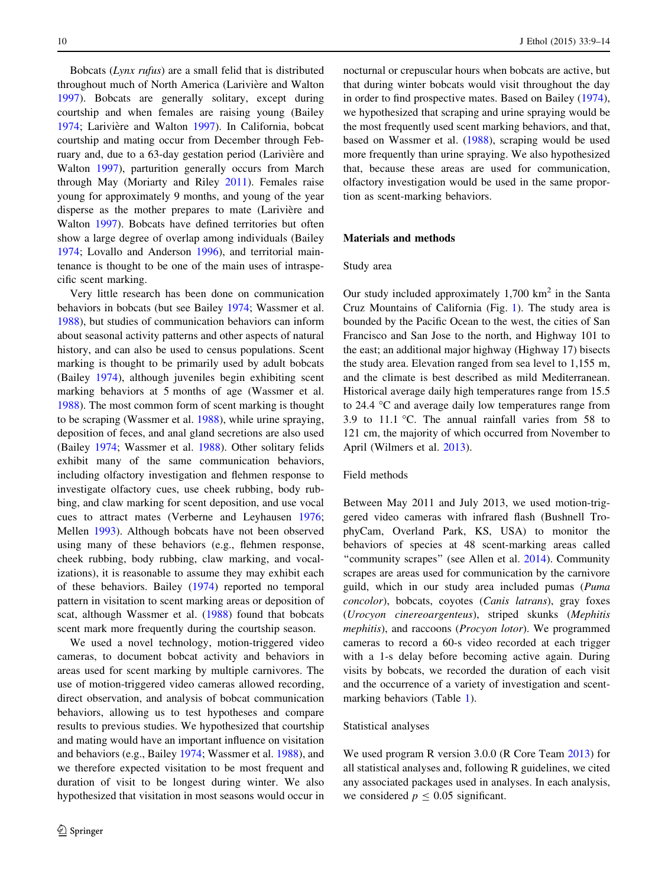Bobcats (Lynx rufus) are a small felid that is distributed throughout much of North America (Larivière and Walton [1997\)](#page-5-0). Bobcats are generally solitary, except during courtship and when females are raising young (Bailey [1974;](#page-5-0) Larivière and Walton [1997](#page-5-0)). In California, bobcat courtship and mating occur from December through February and, due to a 63-day gestation period (Larivière and Walton [1997\)](#page-5-0), parturition generally occurs from March through May (Moriarty and Riley [2011\)](#page-5-0). Females raise young for approximately 9 months, and young of the year disperse as the mother prepares to mate (Larivière and Walton [1997\)](#page-5-0). Bobcats have defined territories but often show a large degree of overlap among individuals (Bailey [1974;](#page-5-0) Lovallo and Anderson [1996\)](#page-5-0), and territorial maintenance is thought to be one of the main uses of intraspecific scent marking.

Very little research has been done on communication behaviors in bobcats (but see Bailey [1974](#page-5-0); Wassmer et al. [1988\)](#page-5-0), but studies of communication behaviors can inform about seasonal activity patterns and other aspects of natural history, and can also be used to census populations. Scent marking is thought to be primarily used by adult bobcats (Bailey [1974](#page-5-0)), although juveniles begin exhibiting scent marking behaviors at 5 months of age (Wassmer et al. [1988\)](#page-5-0). The most common form of scent marking is thought to be scraping (Wassmer et al. [1988\)](#page-5-0), while urine spraying, deposition of feces, and anal gland secretions are also used (Bailey [1974](#page-5-0); Wassmer et al. [1988\)](#page-5-0). Other solitary felids exhibit many of the same communication behaviors, including olfactory investigation and flehmen response to investigate olfactory cues, use cheek rubbing, body rubbing, and claw marking for scent deposition, and use vocal cues to attract mates (Verberne and Leyhausen [1976](#page-5-0); Mellen [1993\)](#page-5-0). Although bobcats have not been observed using many of these behaviors (e.g., flehmen response, cheek rubbing, body rubbing, claw marking, and vocalizations), it is reasonable to assume they may exhibit each of these behaviors. Bailey [\(1974](#page-5-0)) reported no temporal pattern in visitation to scent marking areas or deposition of scat, although Wassmer et al. ([1988\)](#page-5-0) found that bobcats scent mark more frequently during the courtship season.

We used a novel technology, motion-triggered video cameras, to document bobcat activity and behaviors in areas used for scent marking by multiple carnivores. The use of motion-triggered video cameras allowed recording, direct observation, and analysis of bobcat communication behaviors, allowing us to test hypotheses and compare results to previous studies. We hypothesized that courtship and mating would have an important influence on visitation and behaviors (e.g., Bailey [1974](#page-5-0); Wassmer et al. [1988\)](#page-5-0), and we therefore expected visitation to be most frequent and duration of visit to be longest during winter. We also hypothesized that visitation in most seasons would occur in nocturnal or crepuscular hours when bobcats are active, but that during winter bobcats would visit throughout the day in order to find prospective mates. Based on Bailey [\(1974](#page-5-0)), we hypothesized that scraping and urine spraying would be the most frequently used scent marking behaviors, and that, based on Wassmer et al. [\(1988](#page-5-0)), scraping would be used more frequently than urine spraying. We also hypothesized that, because these areas are used for communication, olfactory investigation would be used in the same proportion as scent-marking behaviors.

## Materials and methods

### Study area

Our study included approximately  $1,700 \text{ km}^2$  in the Santa Cruz Mountains of California (Fig. [1](#page-2-0)). The study area is bounded by the Pacific Ocean to the west, the cities of San Francisco and San Jose to the north, and Highway 101 to the east; an additional major highway (Highway 17) bisects the study area. Elevation ranged from sea level to 1,155 m, and the climate is best described as mild Mediterranean. Historical average daily high temperatures range from 15.5 to 24.4  $\degree$ C and average daily low temperatures range from 3.9 to 11.1 °C. The annual rainfall varies from 58 to 121 cm, the majority of which occurred from November to April (Wilmers et al. [2013](#page-5-0)).

## Field methods

Between May 2011 and July 2013, we used motion-triggered video cameras with infrared flash (Bushnell TrophyCam, Overland Park, KS, USA) to monitor the behaviors of species at 48 scent-marking areas called "community scrapes" (see Allen et al. [2014](#page-5-0)). Community scrapes are areas used for communication by the carnivore guild, which in our study area included pumas (Puma concolor), bobcats, coyotes (Canis latrans), gray foxes (Urocyon cinereoargenteus), striped skunks (Mephitis mephitis), and raccoons (Procyon lotor). We programmed cameras to record a 60-s video recorded at each trigger with a 1-s delay before becoming active again. During visits by bobcats, we recorded the duration of each visit and the occurrence of a variety of investigation and scentmarking behaviors (Table [1\)](#page-2-0).

### Statistical analyses

We used program R version 3.0.0 (R Core Team [2013](#page-5-0)) for all statistical analyses and, following R guidelines, we cited any associated packages used in analyses. In each analysis, we considered  $p \leq 0.05$  significant.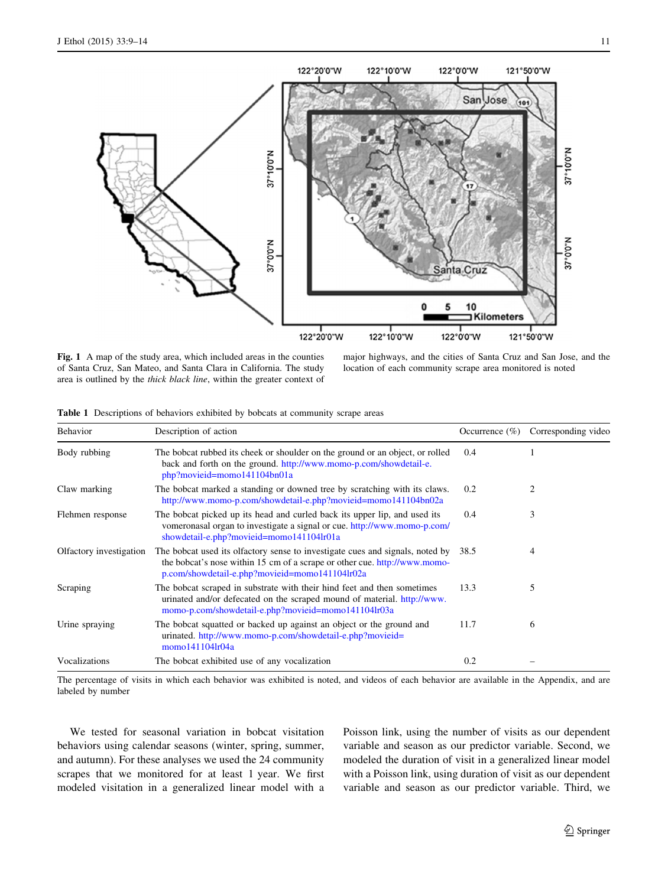<span id="page-2-0"></span>

Fig. 1 A map of the study area, which included areas in the counties of Santa Cruz, San Mateo, and Santa Clara in California. The study area is outlined by the thick black line, within the greater context of

major highways, and the cities of Santa Cruz and San Jose, and the location of each community scrape area monitored is noted

|  | Table 1 Descriptions of behaviors exhibited by bobcats at community scrape areas |  |  |  |  |  |  |
|--|----------------------------------------------------------------------------------|--|--|--|--|--|--|
|--|----------------------------------------------------------------------------------|--|--|--|--|--|--|

| Behavior                | Description of action                                                                                                                                                                                        | Occurrence $(\% )$ | Corresponding video |
|-------------------------|--------------------------------------------------------------------------------------------------------------------------------------------------------------------------------------------------------------|--------------------|---------------------|
| Body rubbing            | The bobcat rubbed its cheek or shoulder on the ground or an object, or rolled<br>back and forth on the ground. http://www.momo-p.com/showdetail-e.<br>php?movieid=momo141104bn01a                            | 0.4                |                     |
| Claw marking            | The bobcat marked a standing or downed tree by scratching with its claws.<br>http://www.momo-p.com/showdetail-e.php?movieid=momo141104bn02a                                                                  | 0.2                | 2                   |
| Flehmen response        | The bobcat picked up its head and curled back its upper lip, and used its<br>vomeronasal organ to investigate a signal or cue. http://www.momo-p.com/<br>showdetail-e.php?movieid=momo141104lr01a            | 0.4                | 3                   |
| Olfactory investigation | The bobcat used its olfactory sense to investigate cues and signals, noted by<br>the bobcat's nose within 15 cm of a scrape or other cue. http://www.momo-<br>p.com/showdetail-e.php?movieid=momo141104lr02a | 38.5               | 4                   |
| Scraping                | The bobcat scraped in substrate with their hind feet and then sometimes<br>urinated and/or defecated on the scraped mound of material. http://www.<br>momo-p.com/showdetail-e.php?movieid=momo141104lr03a    | 13.3               | 5                   |
| Urine spraying          | The bobcat squatted or backed up against an object or the ground and<br>urinated.http://www.momo-p.com/showdetail-e.php?movieid=<br>momo141104lr04a                                                          | 11.7               | 6                   |
| Vocalizations           | The bobcat exhibited use of any vocalization                                                                                                                                                                 | 0.2                |                     |

The percentage of visits in which each behavior was exhibited is noted, and videos of each behavior are available in the Appendix, and are labeled by number

We tested for seasonal variation in bobcat visitation behaviors using calendar seasons (winter, spring, summer, and autumn). For these analyses we used the 24 community scrapes that we monitored for at least 1 year. We first modeled visitation in a generalized linear model with a Poisson link, using the number of visits as our dependent variable and season as our predictor variable. Second, we modeled the duration of visit in a generalized linear model with a Poisson link, using duration of visit as our dependent variable and season as our predictor variable. Third, we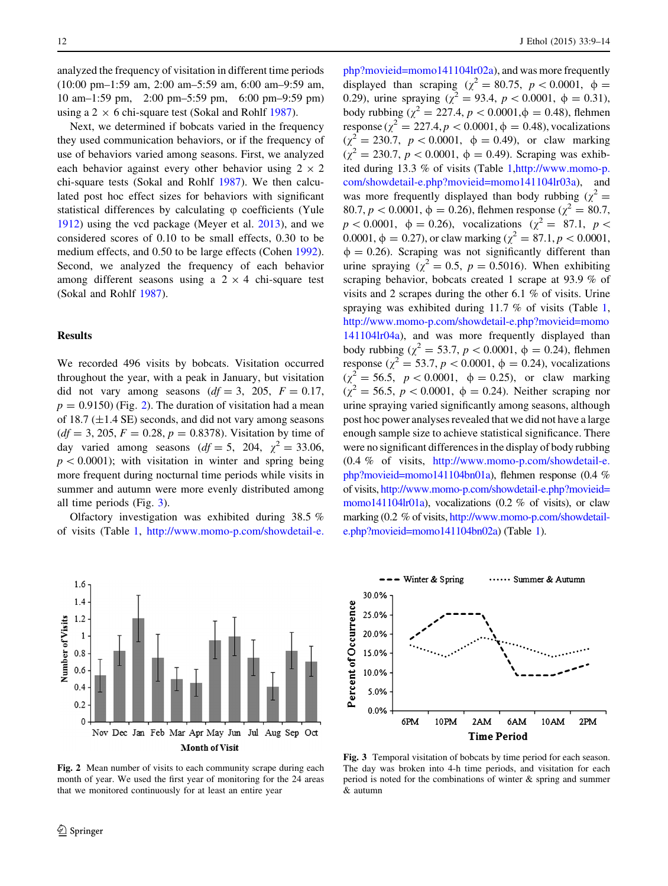<span id="page-3-0"></span>analyzed the frequency of visitation in different time periods (10:00 pm–1:59 am, 2:00 am–5:59 am, 6:00 am–9:59 am, 10 am–1:59 pm, 2:00 pm–5:59 pm, 6:00 pm–9:59 pm) using a 2  $\times$  6 chi-square test (Sokal and Rohlf [1987](#page-5-0)).

Next, we determined if bobcats varied in the frequency they used communication behaviors, or if the frequency of use of behaviors varied among seasons. First, we analyzed each behavior against every other behavior using  $2 \times 2$ chi-square tests (Sokal and Rohlf [1987\)](#page-5-0). We then calculated post hoc effect sizes for behaviors with significant statistical differences by calculating  $\varphi$  coefficients (Yule [1912\)](#page-5-0) using the vcd package (Meyer et al. [2013](#page-5-0)), and we considered scores of 0.10 to be small effects, 0.30 to be medium effects, and 0.50 to be large effects (Cohen [1992](#page-5-0)). Second, we analyzed the frequency of each behavior among different seasons using a  $2 \times 4$  chi-square test (Sokal and Rohlf [1987](#page-5-0)).

## Results

We recorded 496 visits by bobcats. Visitation occurred throughout the year, with a peak in January, but visitation did not vary among seasons  $(df = 3, 205, F = 0.17,$  $p = 0.9150$  (Fig. 2). The duration of visitation had a mean of 18.7 ( $\pm$ 1.4 SE) seconds, and did not vary among seasons  $(df = 3, 205, F = 0.28, p = 0.8378)$ . Visitation by time of day varied among seasons  $(df = 5, 204, \chi^2 = 33.06,$  $p\lt 0.0001$ ; with visitation in winter and spring being more frequent during nocturnal time periods while visits in summer and autumn were more evenly distributed among all time periods (Fig. 3).

Olfactory investigation was exhibited during 38.5 % of visits (Table [1,](#page-2-0) [http://www.momo-p.com/showdetail-e.](http://www.momo-p.com/showdetail-e.php?movieid=momo141104lr02a)



Fig. 2 Mean number of visits to each community scrape during each month of year. We used the first year of monitoring for the 24 areas that we monitored continuously for at least an entire year

 $php?movieid=momo141104lr02a)$  $php?movieid=momo141104lr02a)$ , and was more frequently displayed than scraping ( $\chi^2 = 80.75$ ,  $p < 0.0001$ ,  $\phi =$ 0.29), urine spraying ( $\chi^2 = 93.4$ ,  $p < 0.0001$ ,  $\phi = 0.31$ ), body rubbing ( $\chi^2 = 227.4$ ,  $p < 0.0001$ ,  $\phi = 0.48$ ), flehmen response ( $\chi^2 = 227.4, p < 0.0001, \phi = 0.48$ ), vocalizations  $(\chi^2 = 230.7, p < 0.0001, \phi = 0.49)$ , or claw marking  $(\chi^2 = 230.7, p < 0.0001, \phi = 0.49)$ . Scraping was exhibited during 13.3 % of visits (Table [1](#page-2-0),[http://www.momo-p.](http://www.momo-p.com/showdetail-e.php?movieid=momo141104lr03a) [com/showdetail-e.php?movieid=momo141104lr03a\)](http://www.momo-p.com/showdetail-e.php?movieid=momo141104lr03a), and was more frequently displayed than body rubbing ( $\chi^2$  = 80.7,  $p < 0.0001$ ,  $\phi = 0.26$ ), flehmen response ( $\chi^2 = 80.7$ ,  $p < 0.0001$ ,  $\phi = 0.26$ ), vocalizations ( $\chi^2 = 87.1$ ,  $p <$ 0.0001,  $\phi = 0.27$ ), or claw marking ( $\chi^2 = 87.1, p < 0.0001$ ,  $\phi = 0.26$ ). Scraping was not significantly different than urine spraying ( $\chi^2 = 0.5$ ,  $p = 0.5016$ ). When exhibiting scraping behavior, bobcats created 1 scrape at 93.9 % of visits and 2 scrapes during the other 6.1 % of visits. Urine spraying was exhibited during 11.7 % of visits (Table [1,](#page-2-0) [http://www.momo-p.com/showdetail-e.php?movieid=momo](http://www.momo-p.com/showdetail-e.php?movieid=momo141104lr04a) [141104lr04a\)](http://www.momo-p.com/showdetail-e.php?movieid=momo141104lr04a), and was more frequently displayed than body rubbing ( $\chi^2 = 53.7$ ,  $p < 0.0001$ ,  $\phi = 0.24$ ), flehmen response ( $\chi^2 = 53.7, p < 0.0001, \phi = 0.24$ ), vocalizations  $(\chi^2 = 56.5, p < 0.0001, \phi = 0.25)$ , or claw marking  $(\gamma^2 = 56.5, p < 0.0001, \phi = 0.24)$ . Neither scraping nor urine spraying varied significantly among seasons, although post hoc power analyses revealed that we did not have a large enough sample size to achieve statistical significance. There were no significant differences in the display of body rubbing (0.4 % of visits, [http://www.momo-p.com/showdetail-e.](http://www.momo-p.com/showdetail-e.php?movieid=momo141104bn01a) [php?movieid=momo141104bn01a](http://www.momo-p.com/showdetail-e.php?movieid=momo141104bn01a)), flehmen response (0.4 % of visits, [http://www.momo-p.com/showdetail-e.php?movieid=](http://www.momo-p.com/showdetail-e.php?movieid=momo141104lr01a) [momo141104lr01a\)](http://www.momo-p.com/showdetail-e.php?movieid=momo141104lr01a), vocalizations  $(0.2 \% \text{ of visits})$ , or claw marking (0.2 % of visits, [http://www.momo-p.com/showdetail](http://www.momo-p.com/showdetail-e.php?movieid=momo141104bn02a)[e.php?movieid=momo141104bn02a\)](http://www.momo-p.com/showdetail-e.php?movieid=momo141104bn02a) (Table [1](#page-2-0)).



Fig. 3 Temporal visitation of bobcats by time period for each season. The day was broken into 4-h time periods, and visitation for each period is noted for the combinations of winter & spring and summer & autumn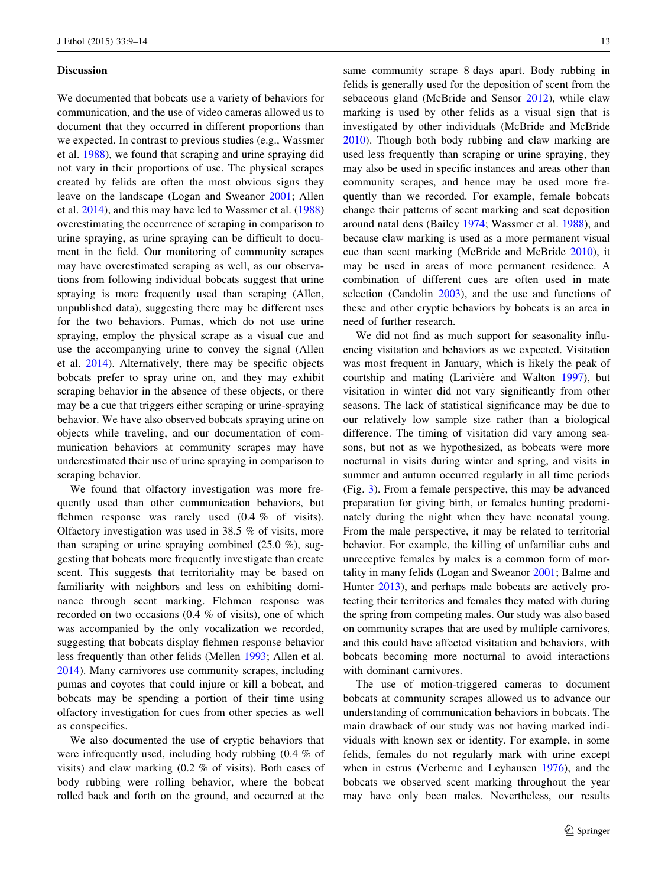### **Discussion**

We documented that bobcats use a variety of behaviors for communication, and the use of video cameras allowed us to document that they occurred in different proportions than we expected. In contrast to previous studies (e.g., Wassmer et al. [1988\)](#page-5-0), we found that scraping and urine spraying did not vary in their proportions of use. The physical scrapes created by felids are often the most obvious signs they leave on the landscape (Logan and Sweanor [2001](#page-5-0); Allen et al. [2014\)](#page-5-0), and this may have led to Wassmer et al. ([1988\)](#page-5-0) overestimating the occurrence of scraping in comparison to urine spraying, as urine spraying can be difficult to document in the field. Our monitoring of community scrapes may have overestimated scraping as well, as our observations from following individual bobcats suggest that urine spraying is more frequently used than scraping (Allen, unpublished data), suggesting there may be different uses for the two behaviors. Pumas, which do not use urine spraying, employ the physical scrape as a visual cue and use the accompanying urine to convey the signal (Allen et al. [2014\)](#page-5-0). Alternatively, there may be specific objects bobcats prefer to spray urine on, and they may exhibit scraping behavior in the absence of these objects, or there may be a cue that triggers either scraping or urine-spraying behavior. We have also observed bobcats spraying urine on objects while traveling, and our documentation of communication behaviors at community scrapes may have underestimated their use of urine spraying in comparison to scraping behavior.

We found that olfactory investigation was more frequently used than other communication behaviors, but flehmen response was rarely used (0.4 % of visits). Olfactory investigation was used in 38.5 % of visits, more than scraping or urine spraying combined  $(25.0 \%)$ , suggesting that bobcats more frequently investigate than create scent. This suggests that territoriality may be based on familiarity with neighbors and less on exhibiting dominance through scent marking. Flehmen response was recorded on two occasions (0.4 % of visits), one of which was accompanied by the only vocalization we recorded, suggesting that bobcats display flehmen response behavior less frequently than other felids (Mellen [1993;](#page-5-0) Allen et al. [2014\)](#page-5-0). Many carnivores use community scrapes, including pumas and coyotes that could injure or kill a bobcat, and bobcats may be spending a portion of their time using olfactory investigation for cues from other species as well as conspecifics.

We also documented the use of cryptic behaviors that were infrequently used, including body rubbing (0.4 % of visits) and claw marking (0.2 % of visits). Both cases of body rubbing were rolling behavior, where the bobcat rolled back and forth on the ground, and occurred at the same community scrape 8 days apart. Body rubbing in felids is generally used for the deposition of scent from the sebaceous gland (McBride and Sensor [2012](#page-5-0)), while claw marking is used by other felids as a visual sign that is investigated by other individuals (McBride and McBride [2010](#page-5-0)). Though both body rubbing and claw marking are used less frequently than scraping or urine spraying, they may also be used in specific instances and areas other than community scrapes, and hence may be used more frequently than we recorded. For example, female bobcats change their patterns of scent marking and scat deposition around natal dens (Bailey [1974;](#page-5-0) Wassmer et al. [1988](#page-5-0)), and because claw marking is used as a more permanent visual cue than scent marking (McBride and McBride [2010\)](#page-5-0), it may be used in areas of more permanent residence. A combination of different cues are often used in mate selection (Candolin [2003\)](#page-5-0), and the use and functions of these and other cryptic behaviors by bobcats is an area in need of further research.

We did not find as much support for seasonality influencing visitation and behaviors as we expected. Visitation was most frequent in January, which is likely the peak of courtship and mating (Larivière and Walton [1997](#page-5-0)), but visitation in winter did not vary significantly from other seasons. The lack of statistical significance may be due to our relatively low sample size rather than a biological difference. The timing of visitation did vary among seasons, but not as we hypothesized, as bobcats were more nocturnal in visits during winter and spring, and visits in summer and autumn occurred regularly in all time periods (Fig. [3\)](#page-3-0). From a female perspective, this may be advanced preparation for giving birth, or females hunting predominately during the night when they have neonatal young. From the male perspective, it may be related to territorial behavior. For example, the killing of unfamiliar cubs and unreceptive females by males is a common form of mortality in many felids (Logan and Sweanor [2001;](#page-5-0) Balme and Hunter [2013](#page-5-0)), and perhaps male bobcats are actively protecting their territories and females they mated with during the spring from competing males. Our study was also based on community scrapes that are used by multiple carnivores, and this could have affected visitation and behaviors, with bobcats becoming more nocturnal to avoid interactions with dominant carnivores.

The use of motion-triggered cameras to document bobcats at community scrapes allowed us to advance our understanding of communication behaviors in bobcats. The main drawback of our study was not having marked individuals with known sex or identity. For example, in some felids, females do not regularly mark with urine except when in estrus (Verberne and Leyhausen [1976](#page-5-0)), and the bobcats we observed scent marking throughout the year may have only been males. Nevertheless, our results